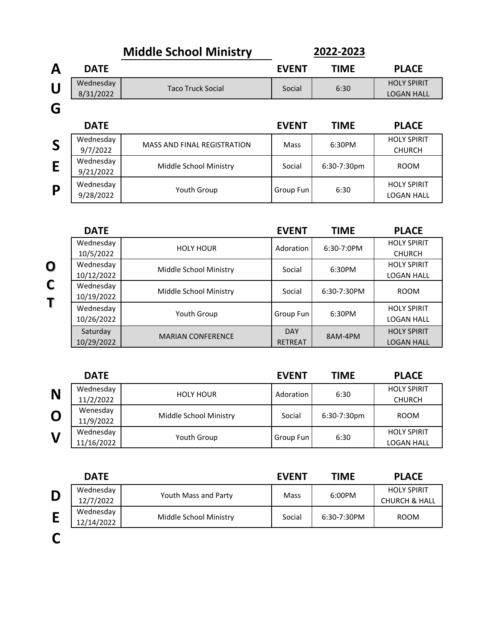|   |                        | <b>Middle School Ministry</b>      |              | 2022-2023   |                                         |
|---|------------------------|------------------------------------|--------------|-------------|-----------------------------------------|
| A | <b>DATE</b>            |                                    | <b>EVENT</b> | <b>TIME</b> | <b>PLACE</b>                            |
| U | Wednesday<br>8/31/2022 | <b>Taco Truck Social</b>           | Social       | 6:30        | <b>HOLY SPIRIT</b><br><b>LOGAN HALL</b> |
| G |                        |                                    |              |             |                                         |
|   | <b>DATE</b>            |                                    | <b>EVENT</b> | <b>TIME</b> | <b>PLACE</b>                            |
| S | Wednesday<br>9/7/2022  | <b>MASS AND FINAL REGISTRATION</b> | Mass         | 6:30PM      | <b>HOLY SPIRIT</b><br><b>CHURCH</b>     |
| E | Wednesday<br>9/21/2022 | Middle School Ministry             | Social       | 6:30-7:30pm | <b>ROOM</b>                             |
| P | Wednesday<br>9/28/2022 | Youth Group                        | Group Fun    | 6:30        | <b>HOLY SPIRIT</b><br><b>LOGAN HALL</b> |

| <b>DATE</b> |                          | <b>EVENT</b>   | <b>TIME</b>   | <b>PLACE</b>       |
|-------------|--------------------------|----------------|---------------|--------------------|
| Wednesday   | <b>HOLY HOUR</b>         | Adoration      | $6:30-7:0PM$  | <b>HOLY SPIRIT</b> |
| 10/5/2022   |                          |                |               | <b>CHURCH</b>      |
| Wednesday   |                          |                |               | <b>HOLY SPIRIT</b> |
| 10/12/2022  | Middle School Ministry   | Social         | 6:30PM        | <b>LOGAN HALL</b>  |
| Wednesday   | Middle School Ministry   | Social         | $6:30-7:30PM$ | <b>ROOM</b>        |
| 10/19/2022  |                          |                |               |                    |
| Wednesday   |                          |                |               | <b>HOLY SPIRIT</b> |
| 10/26/2022  | Youth Group              | Group Fun      | 6:30PM        | <b>LOGAN HALL</b>  |
| Saturday    | <b>MARIAN CONFERENCE</b> | <b>DAY</b>     | 8AM-4PM       | <b>HOLY SPIRIT</b> |
| 10/29/2022  |                          | <b>RETREAT</b> |               | <b>LOGAN HALL</b>  |

**O**

**C**

**T**

|              | <b>DATE</b>             |                        | <b>EVENT</b> | <b>TIME</b> | <b>PLACE</b>                        |
|--------------|-------------------------|------------------------|--------------|-------------|-------------------------------------|
| N            | Wednesday<br>11/2/2022  | <b>HOLY HOUR</b>       | Adoration    | 6:30        | <b>HOLY SPIRIT</b><br><b>CHURCH</b> |
| $\mathbf O$  | Wenesday<br>11/9/2022   | Middle School Ministry | Social       | 6:30-7:30pm | <b>ROOM</b>                         |
| $\mathsf{V}$ | Wednesday<br>11/16/2022 | Youth Group            | Group Fun    | 6:30        | <b>HOLY SPIRIT</b><br>LOGAN HALL    |

|   | <b>DATE</b> |                        | <b>EVENT</b> | <b>TIME</b> | <b>PLACE</b>             |
|---|-------------|------------------------|--------------|-------------|--------------------------|
| D | Wednesday   | Youth Mass and Party   | Mass         | 6:00PM      | <b>HOLY SPIRIT</b>       |
|   | 12/7/2022   |                        |              |             | <b>CHURCH &amp; HALL</b> |
|   | Wednesday   | Middle School Ministry | Social       | 6:30-7:30PM | <b>ROOM</b>              |
|   | 12/14/2022  |                        |              |             |                          |
|   |             |                        |              |             |                          |